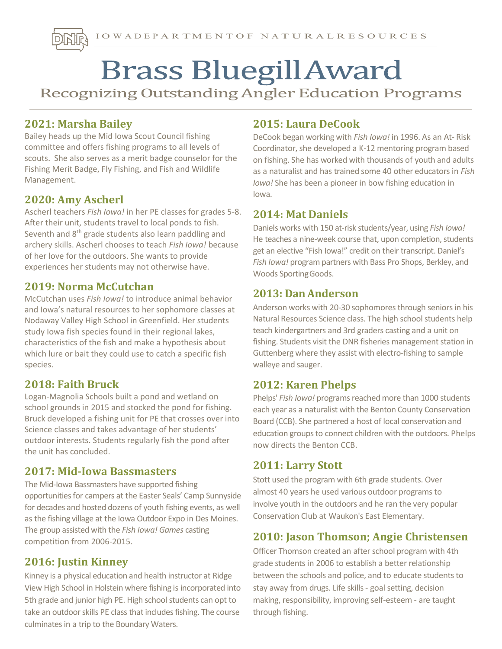# **Brass Bluegill Award**<br>Recognizing Outstanding Angler Education Programs

## 2021: Marsha Bailey

Bailey heads up the Mid Iowa Scout Council fishing committee and offers fishing programs to all levels of scouts. She also serves as a merit badge counselor for the Fishing Merit Badge, Fly Fishing, and Fish and Wildlife Management.

## 2020: Amy Ascherl

Ascherl teachers Fish Iowa! in her PE classes for grades 5-8. After their unit, students travel to local ponds to fish. Seventh and 8<sup>th</sup> grade students also learn paddling and archery skills. Ascherl chooses to teach Fish Iowa! because of her love for the outdoors. She wants to provide experiences her students may not otherwise have.

### 2019: Norma McCutchan

McCutchan uses Fish Jowa! to introduce animal behavior and Iowa's natural resources to her sophomore classes at Nodaway Valley High School in Greenfield. Her students study Iowa fish species found in their regional lakes, characteristics of the fish and make a hypothesis about which lure or bait they could use to catch a specific fish species.

## 2018: Faith Bruck

Logan-Magnolia Schools built a pond and wetland on school grounds in 2015 and stocked the pond for fishing. Bruck developed a fishing unit for PE that crosses over into Science classes and takes advantage of her students' outdoor interests. Students regularly fish the pond after the unit has concluded.

#### 2017: Mid-Iowa Bassmasters

The Mid-Iowa Bassmasters have supported fishing opportunities for campers at the Easter Seals' Camp Sunnyside for decades and hosted dozens of youth fishing events, as well as the fishing village at the Iowa Outdoor Expo in Des Moines. The group assisted with the Fish Iowa! Games casting competition from 2006-2015.

## 2016: Justin Kinney

Kinney is a physical education and health instructor at Ridge View High School in Holstein where fishing is incorporated into 5th grade and junior high PE. High school students can opt to take an outdoor skills PE class that includes fishing. The course culminates in a trip to the Boundary Waters.

## 2015: Laura DeCook

DeCook began working with Fish Iowa! in 1996. As an At-Risk Coordinator, she developed a K-12 mentoring program based on fishing. She has worked with thousands of youth and adults as a naturalist and has trained some 40 other educators in Fish Iowa! She has been a pioneer in bow fishing education in Iowa.

#### 2014: Mat Daniels

Daniels works with 150 at-risk students/year, using Fish Iowa! He teaches a nine-week course that, upon completion, students get an elective "Fish Iowa!" credit on their transcript. Daniel's Fish Iowa! program partners with Bass Pro Shops, Berkley, and Woods Sporting Goods.

### 2013: Dan Anderson

Anderson works with 20-30 sophomores through seniors in his Natural Resources Science class. The high school students help teach kindergartners and 3rd graders casting and a unit on fishing. Students visit the DNR fisheries management station in Guttenberg where they assist with electro-fishing to sample walleye and sauger.

## 2012: Karen Phelps

Phelps' Fish Iowa! programs reached more than 1000 students each year as a naturalist with the Benton County Conservation Board (CCB). She partnered a host of local conservation and education groups to connect children with the outdoors. Phelps now directs the Benton CCB.

## 2011: Larry Stott

Stott used the program with 6th grade students. Over almost 40 years he used various outdoor programs to involve youth in the outdoors and he ran the very popular Conservation Club at Waukon's East Elementary.

## 2010: Jason Thomson; Angie Christensen

Officer Thomson created an after school program with 4th grade students in 2006 to establish a better relationship between the schools and police, and to educate students to stay away from drugs. Life skills - goal setting, decision making, responsibility, improving self-esteem - are taught through fishing.